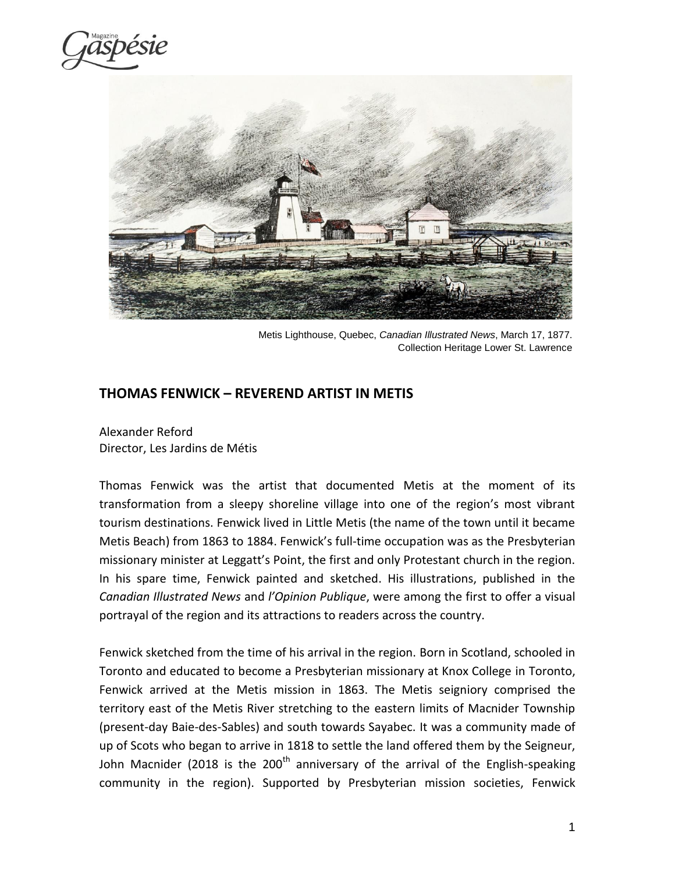



Metis Lighthouse, Quebec, *Canadian Illustrated News*, March 17, 1877. Collection Heritage Lower St. Lawrence

## **THOMAS FENWICK – REVEREND ARTIST IN METIS**

Alexander Reford Director, Les Jardins de Métis

Thomas Fenwick was the artist that documented Metis at the moment of its transformation from a sleepy shoreline village into one of the region's most vibrant tourism destinations. Fenwick lived in Little Metis (the name of the town until it became Metis Beach) from 1863 to 1884. Fenwick's full-time occupation was as the Presbyterian missionary minister at Leggatt's Point, the first and only Protestant church in the region. In his spare time, Fenwick painted and sketched. His illustrations, published in the *Canadian Illustrated News* and *l'Opinion Publique*, were among the first to offer a visual portrayal of the region and its attractions to readers across the country.

Fenwick sketched from the time of his arrival in the region. Born in Scotland, schooled in Toronto and educated to become a Presbyterian missionary at Knox College in Toronto, Fenwick arrived at the Metis mission in 1863. The Metis seigniory comprised the territory east of the Metis River stretching to the eastern limits of Macnider Township (present-day Baie-des-Sables) and south towards Sayabec. It was a community made of up of Scots who began to arrive in 1818 to settle the land offered them by the Seigneur, John Macnider (2018 is the 200<sup>th</sup> anniversary of the arrival of the English-speaking community in the region). Supported by Presbyterian mission societies, Fenwick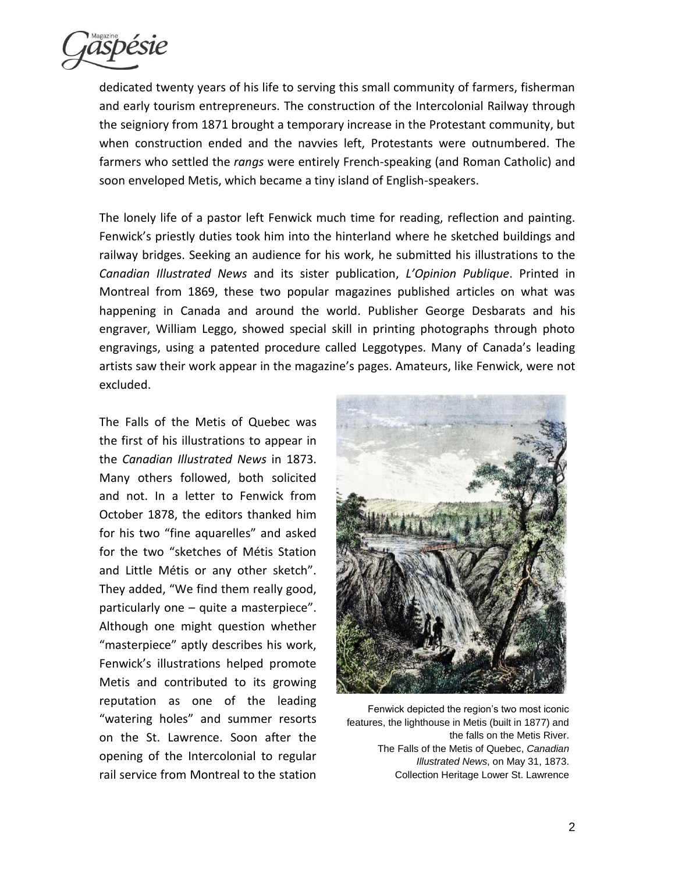

dedicated twenty years of his life to serving this small community of farmers, fisherman and early tourism entrepreneurs. The construction of the Intercolonial Railway through the seigniory from 1871 brought a temporary increase in the Protestant community, but when construction ended and the navvies left, Protestants were outnumbered. The farmers who settled the *rangs* were entirely French-speaking (and Roman Catholic) and soon enveloped Metis, which became a tiny island of English-speakers.

The lonely life of a pastor left Fenwick much time for reading, reflection and painting. Fenwick's priestly duties took him into the hinterland where he sketched buildings and railway bridges. Seeking an audience for his work, he submitted his illustrations to the *Canadian Illustrated News* and its sister publication, *L'Opinion Publique*. Printed in Montreal from 1869, these two popular magazines published articles on what was happening in Canada and around the world. Publisher George Desbarats and his engraver, William Leggo, showed special skill in printing photographs through photo engravings, using a patented procedure called Leggotypes. Many of Canada's leading artists saw their work appear in the magazine's pages. Amateurs, like Fenwick, were not excluded.

The Falls of the Metis of Quebec was the first of his illustrations to appear in the *Canadian Illustrated News* in 1873. Many others followed, both solicited and not. In a letter to Fenwick from October 1878, the editors thanked him for his two "fine aquarelles" and asked for the two "sketches of Métis Station and Little Métis or any other sketch". They added, "We find them really good, particularly one – quite a masterpiece". Although one might question whether "masterpiece" aptly describes his work, Fenwick's illustrations helped promote Metis and contributed to its growing reputation as one of the leading "watering holes" and summer resorts on the St. Lawrence. Soon after the opening of the Intercolonial to regular rail service from Montreal to the station



Fenwick depicted the region's two most iconic features, the lighthouse in Metis (built in 1877) and the falls on the Metis River. The Falls of the Metis of Quebec, *Canadian Illustrated News*, on May 31, 1873. Collection Heritage Lower St. Lawrence